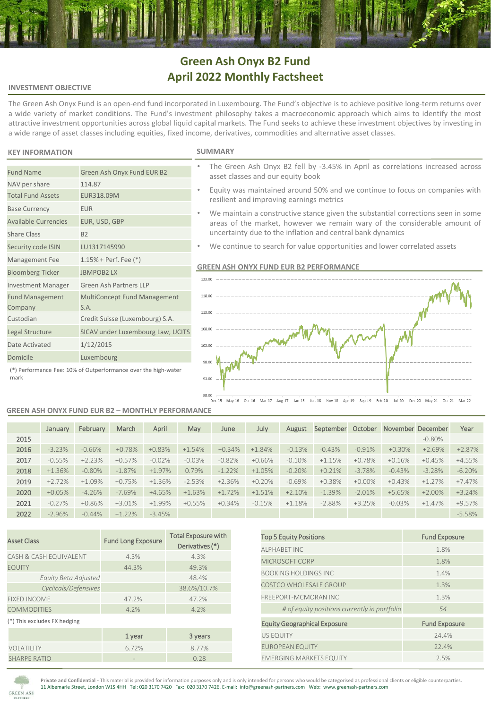# **Green Ash Onyx B2 Fund April 2022 Monthly Factsheet**

## **INVESTMENT OBJECTIVE**

The Green Ash Onyx Fund is an open-end fund incorporated in Luxembourg. The Fund's objective is to achieve positive long-term returns over a wide variety of market conditions. The Fund's investment philosophy takes a macroeconomic approach which aims to identify the most attractive investment opportunities across global liquid capital markets. The Fund seeks to achieve these investment objectives by investing in a wide range of asset classes including equities, fixed income, derivatives, commodities and alternative asset classes.

## **KEY INFORMATION SUMMARY**

NAV per share 114.87 Total Fund Assets EUR318.09M

Base Currency **EUR** 

Share Class B2

Fund Management Company

Available Currencies EUR, USD, GBP

Security code ISIN LU1317145990 Management Fee 1.15% + Perf. Fee (\*) Bloomberg Ticker JBMPOB2 LX

Date Activated 1/12/2015 Domicile Luxembourg

Investment Manager Green Ash Partners LLP

S.A. Custodian Credit Suisse (Luxembourg) S.A. Legal Structure SICAV under Luxembourg Law, UCITS

Fund Name Green Ash Onyx Fund EUR B2

- The Green Ash Onyx B2 fell by -3.45% in April as correlations increased across asset classes and our equity book
- Equity was maintained around 50% and we continue to focus on companies with resilient and improving earnings metrics
- We maintain a constructive stance given the substantial corrections seen in some areas of the market, however we remain wary of the considerable amount of uncertainty due to the inflation and central bank dynamics
- We continue to search for value opportunities and lower correlated assets

#### **GREEN ASH ONYX FUND EUR B2 PERFORMANCE**



(\*) Performance Fee: 10% of Outperformance over the high-water mark

#### **GREEN ASH ONYX FUND EUR B2 – MONTHLY PERFORMANCE**

MultiConcept Fund Management

|      | January  | February  | March    | April    | May      | June     | July     | August    | September | October   | November December |           | Year     |
|------|----------|-----------|----------|----------|----------|----------|----------|-----------|-----------|-----------|-------------------|-----------|----------|
| 2015 |          |           |          |          |          |          |          |           |           |           |                   | $-0.80\%$ |          |
| 2016 | $-3.23%$ | $-0.66%$  | $+0.78%$ | $+0.83%$ | $+1.54%$ | $+0.34%$ | $+1.84%$ | $-0.13%$  | $-0.43%$  | $-0.91%$  | $+0.30%$          | $+2.69%$  | $+2.87%$ |
| 2017 | $-0.55%$ | $+2.23%$  | $+0.57%$ | $-0.02%$ | $-0.03%$ | $-0.82%$ | $+0.66%$ | $-0.10\%$ | $+1.15%$  | $+0.78%$  | $+0.16%$          | $+0.45%$  | $+4.55%$ |
| 2018 | $+1.36%$ | $-0.80\%$ | $-1.87%$ | $+1.97%$ | 0.79%    | $-1.22%$ | $+1.05%$ | $-0.20%$  | $+0.21%$  | $-3.78%$  | $-0.43%$          | $-3.28%$  | $-6.20%$ |
| 2019 | $+2.72%$ | $+1.09%$  | $+0.75%$ | $+1.36%$ | $-2.53%$ | $+2.36%$ | $+0.20%$ | $-0.69\%$ | $+0.38%$  | $+0.00\%$ | $+0.43%$          | $+1.27%$  | $+7.47%$ |
| 2020 | $+0.05%$ | $-4.26%$  | $-7.69%$ | $+4.65%$ | $+1.63%$ | $+1.72%$ | $+1.51%$ | $+2.10%$  | $-1.39%$  | $-2.01%$  | $+5.65%$          | $+2.00\%$ | $+3.24%$ |
| 2021 | $-0.27%$ | $+0.86%$  | $+3.01%$ | $+1.99%$ | $+0.55%$ | $+0.34%$ | $-0.15%$ | $+1.18%$  | $-2.88%$  | $+3.25%$  | $-0.03%$          | $+1.47%$  | $+9.57%$ |
| 2022 | $-2.96%$ | $-0.44%$  | $+1.22%$ | $-3.45%$ |          |          |          |           |           |           |                   |           | $-5.58%$ |

| <b>Asset Class</b>           | <b>Fund Long Exposure</b> | <b>Total Exposure with</b><br>Derivatives (*) |  |  |  |  |
|------------------------------|---------------------------|-----------------------------------------------|--|--|--|--|
| CASH & CASH EQUIVALENT       | 4.3%                      | 4.3%                                          |  |  |  |  |
| <b>EQUITY</b>                | 44.3%                     | 49.3%                                         |  |  |  |  |
| Equity Beta Adjusted         |                           | 48.4%                                         |  |  |  |  |
| Cyclicals/Defensives         |                           | 38.6%/10.7%                                   |  |  |  |  |
| <b>FIXED INCOME</b>          | 47.2%                     | 47.2%                                         |  |  |  |  |
| <b>COMMODITIES</b>           | 4.2%                      | 4.2%                                          |  |  |  |  |
| (*) This excludes FX hedging |                           |                                               |  |  |  |  |
|                              | 1 year                    | 3 years                                       |  |  |  |  |
| VOLATILITY                   | 6.72%                     | 8.77%                                         |  |  |  |  |
| <b>SHARPE RATIO</b>          |                           | 0.28                                          |  |  |  |  |

| <b>Top 5 Equity Positions</b>                | <b>Fund Exposure</b> |
|----------------------------------------------|----------------------|
| <b>ALPHABET INC</b>                          | 1.8%                 |
| MICROSOFT CORP                               | 1.8%                 |
| <b>BOOKING HOLDINGS INC.</b>                 | 1.4%                 |
| <b>COSTCO WHOLESALE GROUP</b>                | 1.3%                 |
| FREEPORT-MCMORAN INC                         | 1.3%                 |
| # of equity positions currently in portfolio | 54                   |
| <b>Equity Geographical Exposure</b>          | <b>Fund Exposure</b> |
| <b>US EQUITY</b>                             | 24.4%                |
| <b>EUROPEAN EQUITY</b>                       | 22.4%                |
| <b>EMERGING MARKETS EQUITY</b>               | 2.5%                 |



**Private and Confidential -** This material is provided for information purposes only and is only intended for persons who would be categorised as professional clients or eligible counterparties. 11 Albemarle Street, London W1S 4HH Tel: 020 3170 7420 Fax: 020 3170 7426. E-mail: info@greenash-partners.com Web: www.greenash-partners.com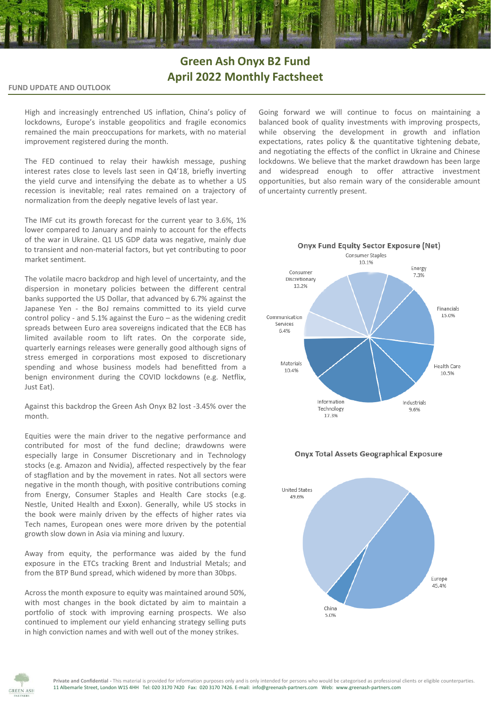# **Green Ash Onyx B2 Fund April 2022 Monthly Factsheet**

## **FUND UPDATE AND OUTLOOK**

High and increasingly entrenched US inflation, China's policy of lockdowns, Europe's instable geopolitics and fragile economics remained the main preoccupations for markets, with no material improvement registered during the month.

The FED continued to relay their hawkish message, pushing interest rates close to levels last seen in Q4'18, briefly inverting the yield curve and intensifying the debate as to whether a US recession is inevitable; real rates remained on a trajectory of normalization from the deeply negative levels of last year.

The IMF cut its growth forecast for the current year to 3.6%, 1% lower compared to January and mainly to account for the effects of the war in Ukraine. Q1 US GDP data was negative, mainly due to transient and non-material factors, but yet contributing to poor market sentiment.

The volatile macro backdrop and high level of uncertainty, and the dispersion in monetary policies between the different central banks supported the US Dollar, that advanced by 6.7% against the Japanese Yen - the BoJ remains committed to its yield curve control policy - and 5.1% against the Euro – as the widening credit spreads between Euro area sovereigns indicated that the ECB has limited available room to lift rates. On the corporate side, quarterly earnings releases were generally good although signs of stress emerged in corporations most exposed to discretionary spending and whose business models had benefitted from a benign environment during the COVID lockdowns (e.g. Netflix, Just Eat).

Against this backdrop the Green Ash Onyx B2 lost -3.45% over the month.

Equities were the main driver to the negative performance and contributed for most of the fund decline; drawdowns were especially large in Consumer Discretionary and in Technology stocks (e.g. Amazon and Nvidia), affected respectively by the fear of stagflation and by the movement in rates. Not all sectors were negative in the month though, with positive contributions coming from Energy, Consumer Staples and Health Care stocks (e.g. Nestle, United Health and Exxon). Generally, while US stocks in the book were mainly driven by the effects of higher rates via Tech names, European ones were more driven by the potential growth slow down in Asia via mining and luxury.

Away from equity, the performance was aided by the fund exposure in the ETCs tracking Brent and Industrial Metals; and from the BTP Bund spread, which widened by more than 30bps.

Across the month exposure to equity was maintained around 50%, with most changes in the book dictated by aim to maintain a portfolio of stock with improving earning prospects. We also continued to implement our yield enhancing strategy selling puts in high conviction names and with well out of the money strikes.

Going forward we will continue to focus on maintaining a balanced book of quality investments with improving prospects, while observing the development in growth and inflation expectations, rates policy & the quantitative tightening debate, and negotiating the effects of the conflict in Ukraine and Chinese lockdowns. We believe that the market drawdown has been large and widespread enough to offer attractive investment opportunities, but also remain wary of the considerable amount of uncertainty currently present.



#### **Onyx Total Assets Geographical Exposure**